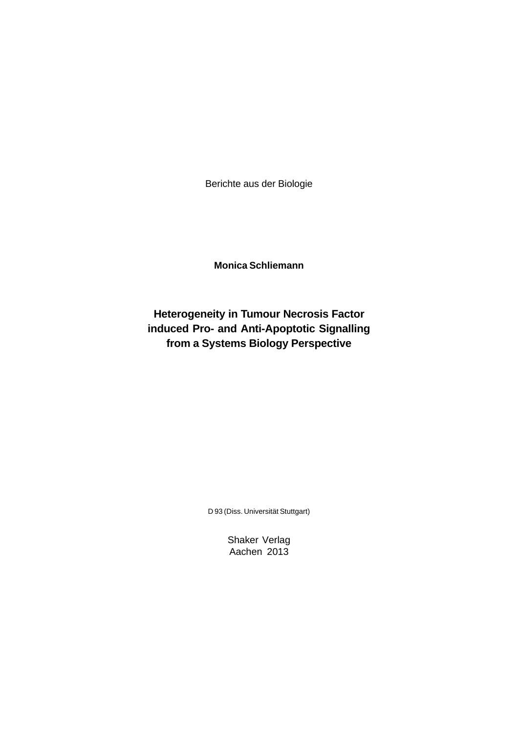Berichte aus der Biologie

**Monica Schliemann**

**Heterogeneity in Tumour Necrosis Factor induced Pro- and Anti-Apoptotic Signalling from a Systems Biology Perspective**

D 93 (Diss. Universität Stuttgart)

Shaker Verlag Aachen 2013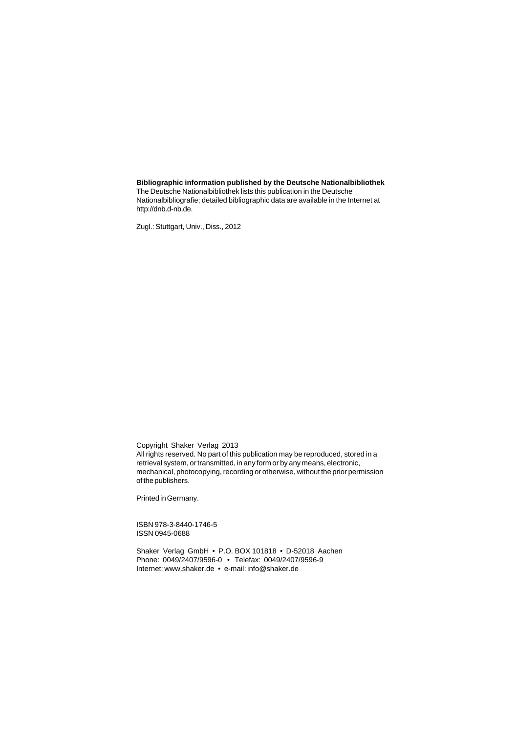## **Bibliographic information published by the Deutsche Nationalbibliothek**

The Deutsche Nationalbibliothek lists this publication in the Deutsche Nationalbibliografie; detailed bibliographic data are available in the Internet at http://dnb.d-nb.de.

Zugl.: Stuttgart, Univ., Diss., 2012

Copyright Shaker Verlag 2013 All rights reserved. No part of this publication may be reproduced, stored in a retrieval system, or transmitted, in any form or by any means, electronic, mechanical, photocopying, recording or otherwise, without the prior permission of the publishers.

Printed in Germany.

ISBN 978-3-8440-1746-5 ISSN 0945-0688

Shaker Verlag GmbH • P.O. BOX 101818 • D-52018 Aachen Phone: 0049/2407/9596-0 • Telefax: 0049/2407/9596-9 Internet: www.shaker.de • e-mail: info@shaker.de